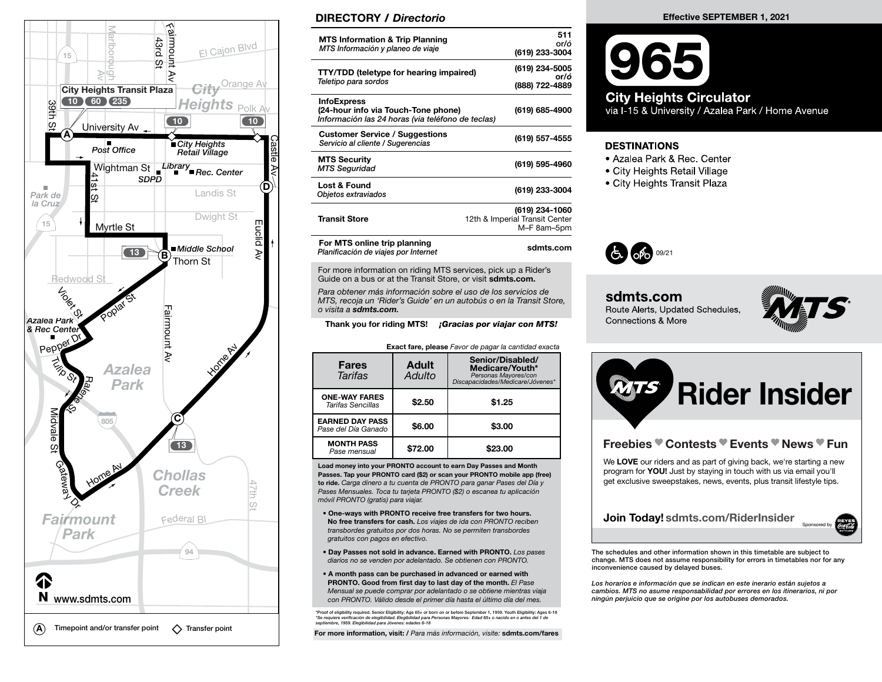

## DIRECTORY / Directorio

| <b>MTS Information &amp; Trip Planning</b><br>MTS Información y planeo de viaje                                | 511<br>or/ó<br>(619) 233-3004                                   |
|----------------------------------------------------------------------------------------------------------------|-----------------------------------------------------------------|
| <b>TTY/TDD (teletype for hearing impaired)</b><br>Teletipo para sordos                                         | (619) 234-5005<br>or/ó<br>(888) 722-4889                        |
| <b>InfoExpress</b><br>(24-hour info via Touch-Tone phone)<br>Información las 24 horas (via teléfono de teclas) | (619) 685-4900                                                  |
| <b>Customer Service / Suggestions</b><br>Servicio al cliente / Sugerencias                                     | (619) 557-4555                                                  |
| <b>MTS Security</b><br><b>MTS Seguridad</b>                                                                    | (619) 595-4960                                                  |
| <b>Lost &amp; Found</b><br>Objetos extraviados                                                                 | (619) 233-3004                                                  |
| <b>Transit Store</b>                                                                                           | (619) 234-1060<br>12th & Imperial Transit Center<br>M-F 8am-5pm |
| For MTS online trip planning<br>Planificación de viaies por Internet                                           | sdmts.com                                                       |

For more information on riding MTS services, pick up a Rider's Guide on a bus or at the Transit Store, or visit sdmts.com.

Para obtener más información sobre el uso de los servicios de MTS, recoja un 'Rider's Guide' en un autobús o en la Transit Store, o visita a sdmts.com.

Thank you for riding MTS! **¡Gracias por viajar con MTS!** 

Exact fare, please Favor de pagar la cantidad exacta

| <b>Fares</b><br>Tarifas                       | <b>Adult</b><br>Adulto | Senior/Disabled/<br>Medicare/Youth*<br>Personas Mayores/con<br>Discapacidades/Medicare/Jóvenes* |  |  |
|-----------------------------------------------|------------------------|-------------------------------------------------------------------------------------------------|--|--|
| <b>ONE-WAY FARES</b><br>Tarifas Sencillas     | \$2.50                 | \$1.25                                                                                          |  |  |
| <b>EARNED DAY PASS</b><br>Pase del Día Ganado | \$6.00                 | \$3.00                                                                                          |  |  |
| <b>MONTH PASS</b><br>Pase mensual             | \$72.00                | \$23.00                                                                                         |  |  |

Load money into your PRONTO account to earn Day Passes and Month Passes. Tap your PRONTO card (\$2) or scan your PRONTO mobile app (free) to ride. Carga dinero a tu cuenta de PRONTO para ganar Pases del Día y Pases Mensuales. Toca tu tarjeta PRONTO (\$2) o escanea tu aplicación móvil PRONTO (gratis) para viajar.

- One-ways with PRONTO receive free transfers for two hours. No free transfers for cash. Los viajes de ida con PRONTO reciben transbordes gratuitos por dos horas. No se permiten transbordes gratuitos con pagos en efectivo.
- Day Passes not sold in advance. Earned with PRONTO. Los pases diarios no se venden por adelantado. Se obtienen con PRONTO.
- A month pass can be purchased in advanced or earned with PRONTO. Good from first day to last day of the month. El Pase Mensual se puede comprar por adelantado o se obtiene mientras viaja con PRONTO. Válido desde el primer día hasta el último día del mes.

\*Proof of eligibility required. Senior Eligibility: Age 65+ or born on or before September 1, 1959. Youth Eligibility: Ages 6-18<br>\*Se requiere verificación de elegibilidad. *Elegibilidad para Personas Mayores: Edad 6*5+ o septiembre, 1959. Elegibilidad para Jóvenes: edades 6-18

For more information, visit: / Para más información, visite: sdmts.com/fares

## Effective SEPTEMBER 1, 2021



## **City Heights Circulator**

via I-15 & University / Azalea Park / Home Avenue

## **DESTINATIONS**

- Azalea Park & Rec. Center
- City Heights Retail Village
- City Heights Transit Plaza



sdmts.com Route Alerts, Updated Schedules, **Connections & More** 





Los horarios e información que se indican en este inerario están sujetos a cambios. MTS no asume responsabilidad por errores en los itinerarios, ni por ningún perjuicio que se origine por los autobuses demorados.